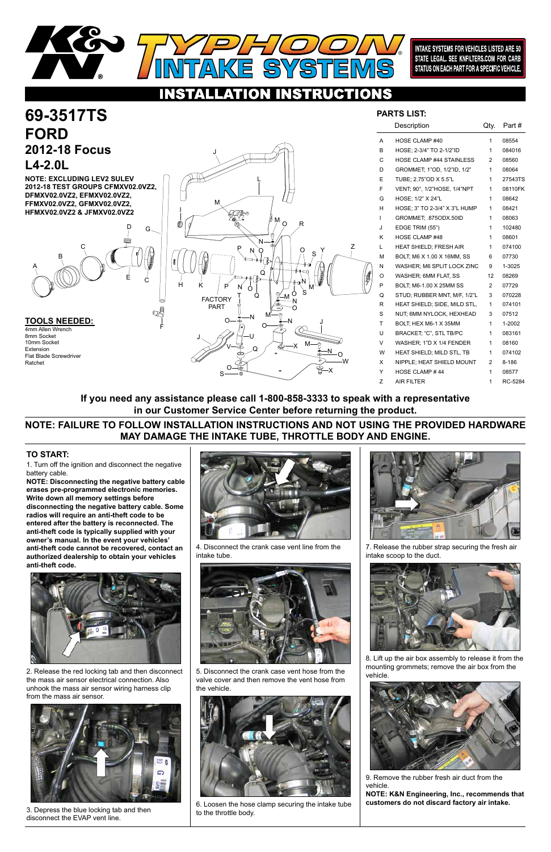

F



1. Turn off the ignition and disconnect the negative battery cable.

# **69-3517TS FORD 2012-18 Focus L4-2.0L**

**NOTE: Disconnecting the negative battery cable erases pre-programmed electronic memories. Write down all memory settings before disconnecting the negative battery cable. Some radios will require an anti-theft code to be entered after the battery is reconnected. The anti-theft code is typically supplied with your owner's manual. In the event your vehicles' anti-theft code cannot be recovered, contact an authorized dealership to obtain your vehicles anti-theft code.**



## **TO START:**



**INTAKE SYSTEMS FOR VEHICLES LISTED ARE 50** STATE LEGAL. SEE KNFILTERS.COM FOR CARB STATUS ON EACH PART FOR A SPECIFIC VEHICLE.

### **NSTRUCTIONS** O

2. Release the red locking tab and then disconnect the mass air sensor electrical connection. Also unhook the mass air sensor wiring harness clip from the mass air sensor.

**TOOLS NEEDED:** 4mm Allen Wrench 8mm Socket 10mm Socket Extension Flat Blade Screwdriver Ratchet



3. Depress the blue locking tab and then disconnect the EVAP vent line.



4. Disconnect the crank case vent line from the intake tube.



5. Disconnect the crank case vent hose from the valve cover and then remove the vent hose from the vehicle.



6. Loosen the hose clamp securing the intake tube to the throttle body.



7. Release the rubber strap securing the fresh air intake scoop to the duct.



8. Lift up the air box assembly to release it from the mounting grommets; remove the air box from the vehicle.



9. Remove the rubber fresh air duct from the vehicle.

**NOTE: K&N Engineering, Inc., recommends that customers do not discard factory air intake.** 

|    | Description                     | Qty.           | Part#   |
|----|---------------------------------|----------------|---------|
| A  | HOSE CLAMP #40                  | 1              | 08554   |
| B  | HOSE; 2-3/4" TO 2-1/2"ID        | 1              | 084016  |
| C  | <b>HOSE CLAMP #44 STAINLESS</b> | $\overline{2}$ | 08560   |
| D  | GROMMET, 1"OD, 1/2"ID, 1/2"     | 1              | 08064   |
| E  | TUBE; 2.75"OD X 5.5"L           | 1              | 27543TS |
| F  | VENT, 90°, 1/2"HOSE, 1/4"NPT    | 1              | 08110FK |
| G  | HOSE; 1/2" X 24"L               | 1              | 08642   |
| н  | HOSE; 3" TO 2-3/4" X 3"L HUMP   | 1              | 08421   |
| L  | GROMMET, 875ODX.50ID            | 1              | 08063   |
| J  | EDGE TRIM (55")                 | 1              | 102480  |
| Κ  | HOSE CLAMP #48                  | 1              | 08601   |
| L. | HEAT SHIELD; FRESH AIR          | 1              | 074100  |
| М  | BOLT, M6 X 1.00 X 16MM, SS      | 6              | 07730   |
| N  | WASHER; M6 SPLIT LOCK ZINC      | 9              | 1-3025  |
| O  | WASHER; 6MM FLAT, SS            | 12             | 08269   |
| P  | BOLT, M6-1.00 X 25MM SS         | 2              | 07729   |
| Q  | STUD; RUBBER MNT, M/F, 1/2"L    | 3              | 070228  |
| R  | HEAT SHIELD; SIDE, MILD STL,    | 1              | 074101  |
| S  | NUT, 6MM NYLOCK, HEXHEAD        | 3              | 07512   |
| T. | BOLT; HEX M6-1 X 35MM           | 1              | 1-2002  |
| U  | BRACKET; "C", STL TB/PC         | 1              | 083161  |
| V  | WASHER; 1"D X 1/4 FENDER        | 1              | 08160   |
| W  | HEAT SHIELD; MILD STL, TB       | 1              | 074102  |
| X  | NIPPLE; HEAT SHIELD MOUNT       | $\overline{2}$ | 8-186   |
| Y  | HOSE CLAMP #44                  | 1              | 08577   |
| Z  | <b>AIR FILTER</b>               | 1              | RC-5284 |
|    |                                 |                |         |

## **PARTS LIST:**

**NOTE: EXCLUDING LEV2 SULEV 2012-18 TEST GROUPS CFMXV02.0VZ2, DFMXV02.0VZ2, EFMXV02.0VZ2, FFMXV02.0VZ2, GFMXV02.0VZ2, HFMXV02.0VZ2 & JFMXV02.0VZ2**

## **NOTE: FAILURE TO FOLLOW INSTALLATION INSTRUCTIONS AND NOT USING THE PROVIDED HARDWARE MAY DAMAGE THE INTAKE TUBE, THROTTLE BODY AND ENGINE.**

**If you need any assistance please call 1-800-858-3333 to speak with a representative in our Customer Service Center before returning the product.**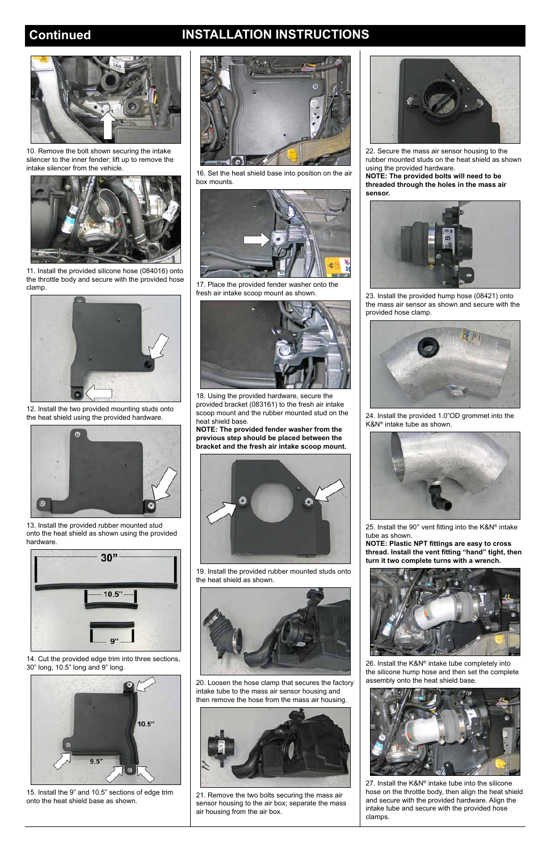# **Continued INSTALLATION INSTRUCTIONS**



10. Remove the bolt shown securing the intake silencer to the inner fender; lift up to remove the intake silencer from the vehicle.



11. Install the provided silicone hose (084016) onto the throttle body and secure with the provided hose clamp.



12. Install the two provided mounting studs onto the heat shield using the provided hardware.



13. Install the provided rubber mounted stud onto the heat shield as shown using the provided hardware.



14. Cut the provided edge trim into three sections, 30" long, 10.5" long and 9" long.



15. Install the 9" and 10.5" sections of edge trim onto the heat shield base as shown.



16. Set the heat shield base into position on the air box mounts.



17. Place the provided fender washer onto the fresh air intake scoop mount as shown.



18. Using the provided hardware, secure the provided bracket (083161) to the fresh air intake scoop mount and the rubber mounted stud on the heat shield base.

**NOTE: The provided fender washer from the previous step should be placed between the bracket and the fresh air intake scoop mount.**



19. Install the provided rubber mounted studs onto the heat shield as shown.



20. Loosen the hose clamp that secures the factory intake tube to the mass air sensor housing and then remove the hose from the mass air housing.



21. Remove the two bolts securing the mass air sensor housing to the air box; separate the mass air housing from the air box.



22. Secure the mass air sensor housing to the rubber mounted studs on the heat shield as shown using the provided hardware.

**NOTE: The provided bolts will need to be threaded through the holes in the mass air sensor.**



23. Install the provided hump hose (08421) onto the mass air sensor as shown and secure with the provided hose clamp.



24. Install the provided 1.0"OD grommet into the K&N® intake tube as shown.



25. Install the 90° vent fitting into the K&N® intake tube as shown.

**NOTE: Plastic NPT fittings are easy to cross thread. Install the vent fitting "hand" tight, then turn it two complete turns with a wrench.**



26. Install the K&N® intake tube completely into the silicone hump hose and then set the complete assembly onto the heat shield base.



27. Install the K&N® intake tube into the silicone hose on the throttle body, then align the heat shield and secure with the provided hardware. Align the intake tube and secure with the provided hose clamps.